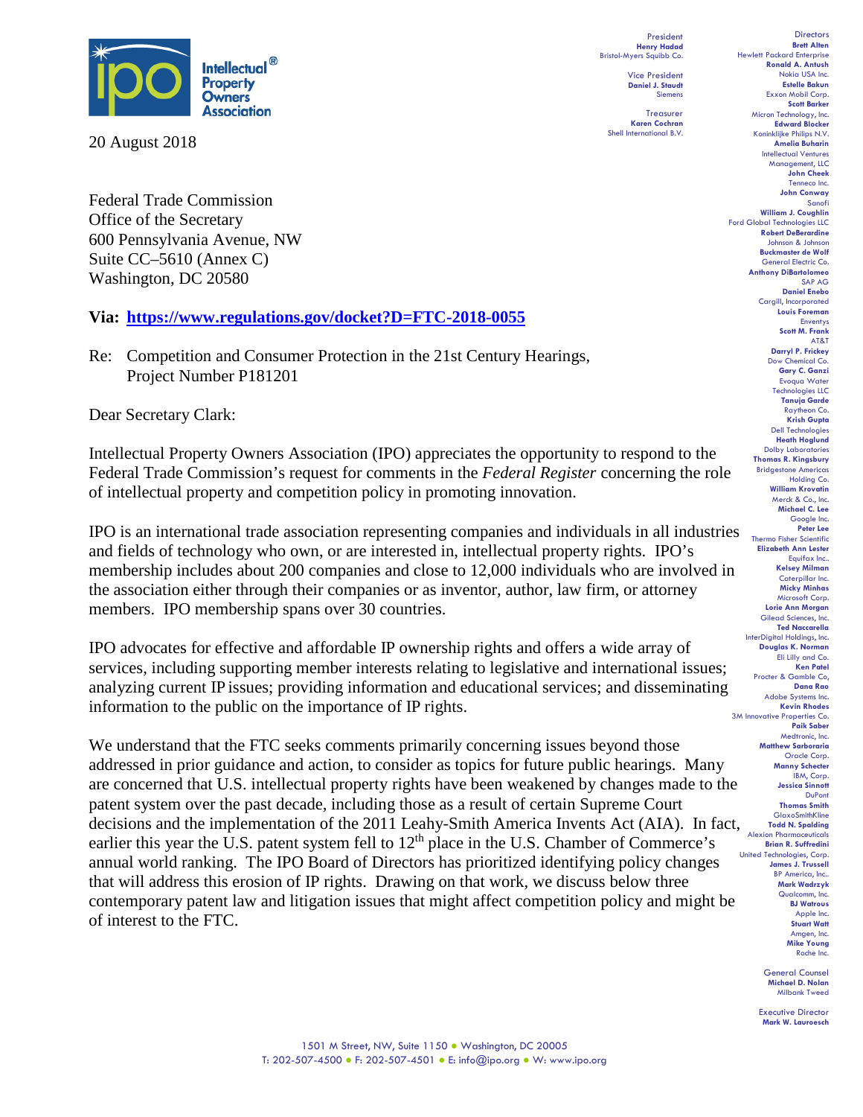

20 August 2018

Federal Trade Commission Office of the Secretary 600 Pennsylvania Avenue, NW Suite CC–5610 (Annex C) Washington, DC 20580

#### **Via: <https://www.regulations.gov/docket?D=FTC-2018-0055>**

Re:Competition and Consumer Protection in the 21st Century Hearings, Project Number P181201

Dear Secretary Clark:

Intellectual Property Owners Association (IPO) appreciates the opportunity to respond to the Federal Trade Commission's request for comments in the *Federal Register* concerning the role of intellectual property and competition policy in promoting innovation.

IPO is an international trade association representing companies and individuals in all industries and fields of technology who own, or are interested in, intellectual property rights. IPO's membership includes about 200 companies and close to 12,000 individuals who are involved in the association either through their companies or as inventor, author, law firm, or attorney members. IPO membership spans over 30 countries.

IPO advocates for effective and affordable IP ownership rights and offers a wide array of services, including supporting member interests relating to legislative and international issues; analyzing current IP issues; providing information and educational services; and disseminating information to the public on the importance of IP rights.

We understand that the FTC seeks comments primarily concerning issues beyond those addressed in prior guidance and action, to consider as topics for future public hearings. Many are concerned that U.S. intellectual property rights have been weakened by changes made to the patent system over the past decade, including those as a result of certain Supreme Court decisions and the implementation of the 2011 Leahy-Smith America Invents Act (AIA). In fact, earlier this year the U.S. patent system fell to  $12<sup>th</sup>$  place in the U.S. Chamber of Commerce's annual world ranking. The IPO Board of Directors has prioritized identifying policy changes that will address this erosion of IP rights. Drawing on that work, we discuss below three contemporary patent law and litigation issues that might affect competition policy and might be of interest to the FTC.

President **Henry Hadad** Bristol-Myers Squibb Co.

Vice President **Daniel J. Staudt** Siemens

**Treasurer Karen Cochran** Shell International B.V.

**Brett Alten** Hewlett Packard Enterprise **Ronald A. Antush** Nokia USA Inc. **Estelle Bakun** Exxon Mobil Corp. **Scott Barker** Micron Technology, Inc. **Edward Blocker** Koninklijke Philips N.V. **Amelia Buharin** Intellectual Ventures Management, LLC **John Cheek** Tenneco Inc. **John Conway** Sanofi **William J. Coughlin** Ford Global Technologies LLC **Robert DeBerardine** Johnson & Johnson **Buckmaster de Wolf** General Electric Co. **Anthony DiBartolomeo** SAP AG **Daniel Enebo** Cargill, Incorporated **Louis Foreman** Enventys **Scott M. Frank** AT&T **Darryl P. Frickey** Dow Chemical Co. **Gary C. Ganzi** Evoqua Water Technologies LLC **Tanuja Garde** Raytheon Co. **Krish Gupta** Dell Technologies **Heath Hoglund** Dolby Laboratories **Thomas R. Kingsbury** Bridgestone Americas Holding Co. **William Krovatin** Merck & Co., Inc. **Michael C. Lee** Google Inc. **Peter Lee** Thermo Fisher Scientific **Elizabeth Ann Lester** Equifax Inc.. **Kelsey Milman** Caterpillar Inc. **Micky Minhas** Microsoft Corp. **Lorie Ann Morgan** Gilead Sciences, Inc. **Ted Naccarella** InterDigital Holdings, Inc. **Douglas K. Norman** Eli Lilly and Co. **Ken Patel** Procter & Gamble Co, **Dana Rao** Adobe Systems Inc. **Kevin Rhodes** 3M Innovative Properties Co. **Paik Saber** Medtronic, Inc. **Matthew Sarboraria** Oracle Corp. **Manny Schecter** IBM, Corp. **Jessica Sinnott** DuPont **Thomas Smith** GlaxoSmithKline **Todd N. Spalding** Alexion Pharmaceuticals **Brian R. Suffredini** United Technologies, Corp. **James J. Trussell** BP America, Inc.. **Mark Wadrzyk** Qualcomm, Inc. **BJ Watrous** Apple Inc. **Stuart Watt** Amgen, Inc. **Mike Young** Roche Inc.

**Directors** 

General Counsel **Michael D. Nolan** Milbank Tweed

Executive Director **Mark W. Lauroesch**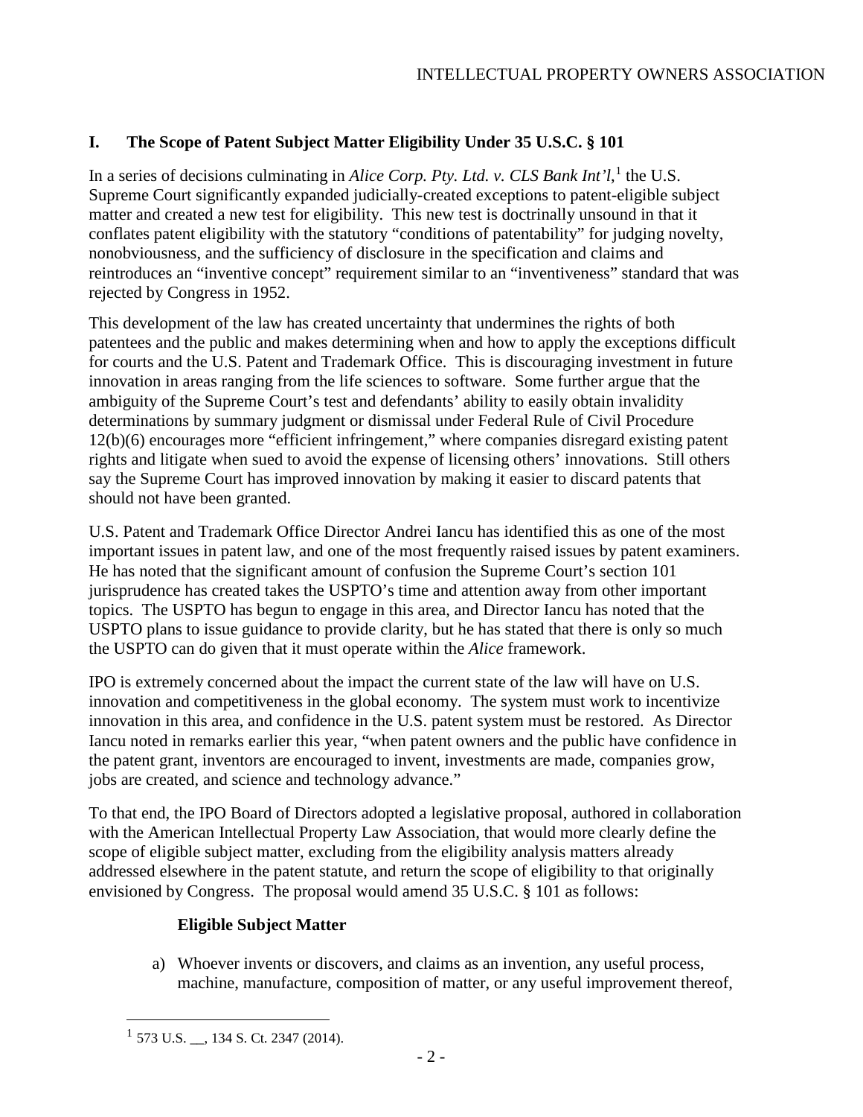# **I. The Scope of Patent Subject Matter Eligibility Under 35 U.S.C. § 101**

In a series of decisions culminating in *Alice Corp. Pty. Ltd. v. CLS Bank Int'l*,<sup>[1](#page-1-0)</sup> the U.S. Supreme Court significantly expanded judicially-created exceptions to patent-eligible subject matter and created a new test for eligibility. This new test is doctrinally unsound in that it conflates patent eligibility with the statutory "conditions of patentability" for judging novelty, nonobviousness, and the sufficiency of disclosure in the specification and claims and reintroduces an "inventive concept" requirement similar to an "inventiveness" standard that was rejected by Congress in 1952.

This development of the law has created uncertainty that undermines the rights of both patentees and the public and makes determining when and how to apply the exceptions difficult for courts and the U.S. Patent and Trademark Office. This is discouraging investment in future innovation in areas ranging from the life sciences to software. Some further argue that the ambiguity of the Supreme Court's test and defendants' ability to easily obtain invalidity determinations by summary judgment or dismissal under Federal Rule of Civil Procedure 12(b)(6) encourages more "efficient infringement," where companies disregard existing patent rights and litigate when sued to avoid the expense of licensing others' innovations. Still others say the Supreme Court has improved innovation by making it easier to discard patents that should not have been granted.

U.S. Patent and Trademark Office Director Andrei Iancu has identified this as one of the most important issues in patent law, and one of the most frequently raised issues by patent examiners. He has noted that the significant amount of confusion the Supreme Court's section 101 jurisprudence has created takes the USPTO's time and attention away from other important topics. The USPTO has begun to engage in this area, and Director Iancu has noted that the USPTO plans to issue guidance to provide clarity, but he has stated that there is only so much the USPTO can do given that it must operate within the *Alice* framework.

IPO is extremely concerned about the impact the current state of the law will have on U.S. innovation and competitiveness in the global economy. The system must work to incentivize innovation in this area, and confidence in the U.S. patent system must be restored. As Director Iancu noted in remarks earlier this year, "when patent owners and the public have confidence in the patent grant, inventors are encouraged to invent, investments are made, companies grow, jobs are created, and science and technology advance."

To that end, the IPO Board of Directors adopted a legislative proposal, authored in collaboration with the American Intellectual Property Law Association, that would more clearly define the scope of eligible subject matter, excluding from the eligibility analysis matters already addressed elsewhere in the patent statute, and return the scope of eligibility to that originally envisioned by Congress. The proposal would amend 35 U.S.C. § 101 as follows:

# **Eligible Subject Matter**

a) Whoever invents or discovers, and claims as an invention, any useful process, machine, manufacture, composition of matter, or any useful improvement thereof,

<span id="page-1-0"></span> $1\,$  573 U.S.  $\ldots$ , 134 S. Ct. 2347 (2014).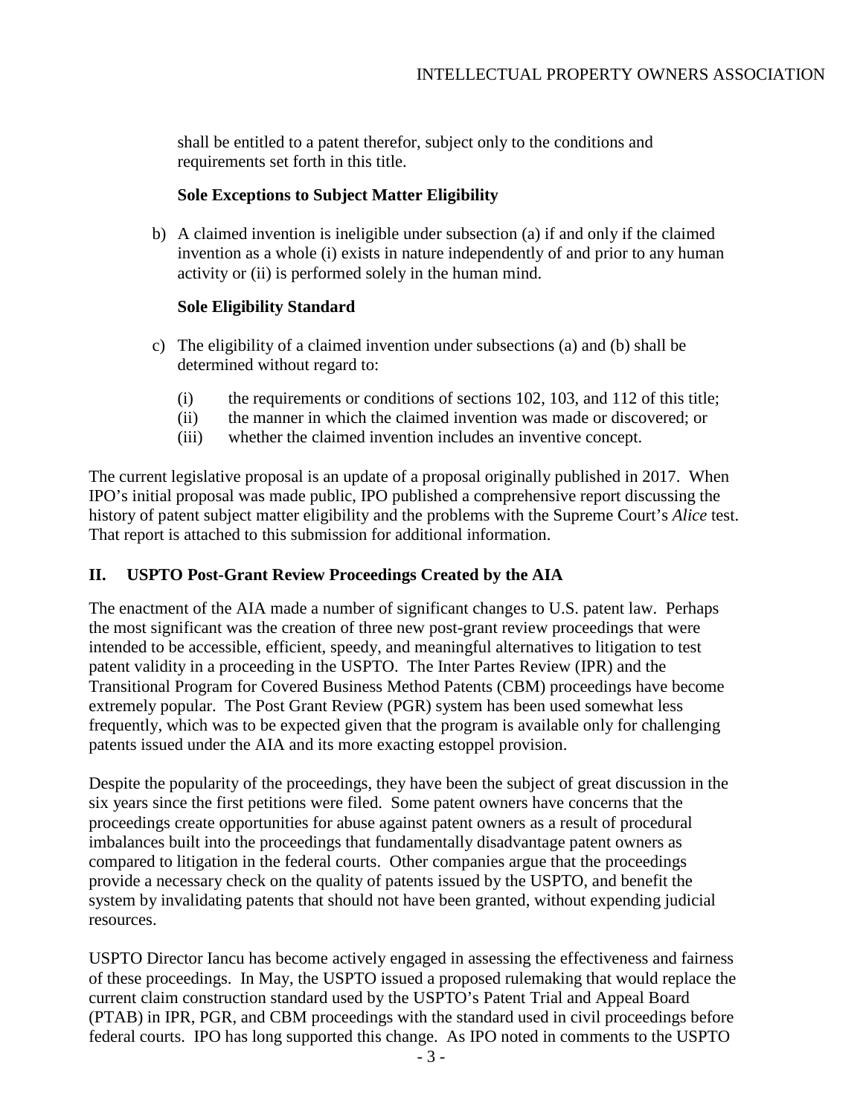shall be entitled to a patent therefor, subject only to the conditions and requirements set forth in this title.

### **Sole Exceptions to Subject Matter Eligibility**

b) A claimed invention is ineligible under subsection (a) if and only if the claimed invention as a whole (i) exists in nature independently of and prior to any human activity or (ii) is performed solely in the human mind.

# **Sole Eligibility Standard**

- c) The eligibility of a claimed invention under subsections (a) and (b) shall be determined without regard to:
	- (i) the requirements or conditions of sections 102, 103, and 112 of this title;
	- (ii) the manner in which the claimed invention was made or discovered; or
	- (iii) whether the claimed invention includes an inventive concept.

The current legislative proposal is an update of a proposal originally published in 2017. When IPO's initial proposal was made public, IPO published a comprehensive report discussing the history of patent subject matter eligibility and the problems with the Supreme Court's *Alice* test. That report is attached to this submission for additional information.

# **II. USPTO Post-Grant Review Proceedings Created by the AIA**

The enactment of the AIA made a number of significant changes to U.S. patent law. Perhaps the most significant was the creation of three new post-grant review proceedings that were intended to be accessible, efficient, speedy, and meaningful alternatives to litigation to test patent validity in a proceeding in the USPTO. The Inter Partes Review (IPR) and the Transitional Program for Covered Business Method Patents (CBM) proceedings have become extremely popular. The Post Grant Review (PGR) system has been used somewhat less frequently, which was to be expected given that the program is available only for challenging patents issued under the AIA and its more exacting estoppel provision.

Despite the popularity of the proceedings, they have been the subject of great discussion in the six years since the first petitions were filed. Some patent owners have concerns that the proceedings create opportunities for abuse against patent owners as a result of procedural imbalances built into the proceedings that fundamentally disadvantage patent owners as compared to litigation in the federal courts. Other companies argue that the proceedings provide a necessary check on the quality of patents issued by the USPTO, and benefit the system by invalidating patents that should not have been granted, without expending judicial resources.

USPTO Director Iancu has become actively engaged in assessing the effectiveness and fairness of these proceedings. In May, the USPTO issued a proposed rulemaking that would replace the current claim construction standard used by the USPTO's Patent Trial and Appeal Board (PTAB) in IPR, PGR, and CBM proceedings with the standard used in civil proceedings before federal courts. IPO has long supported this change. As IPO noted in comments to the USPTO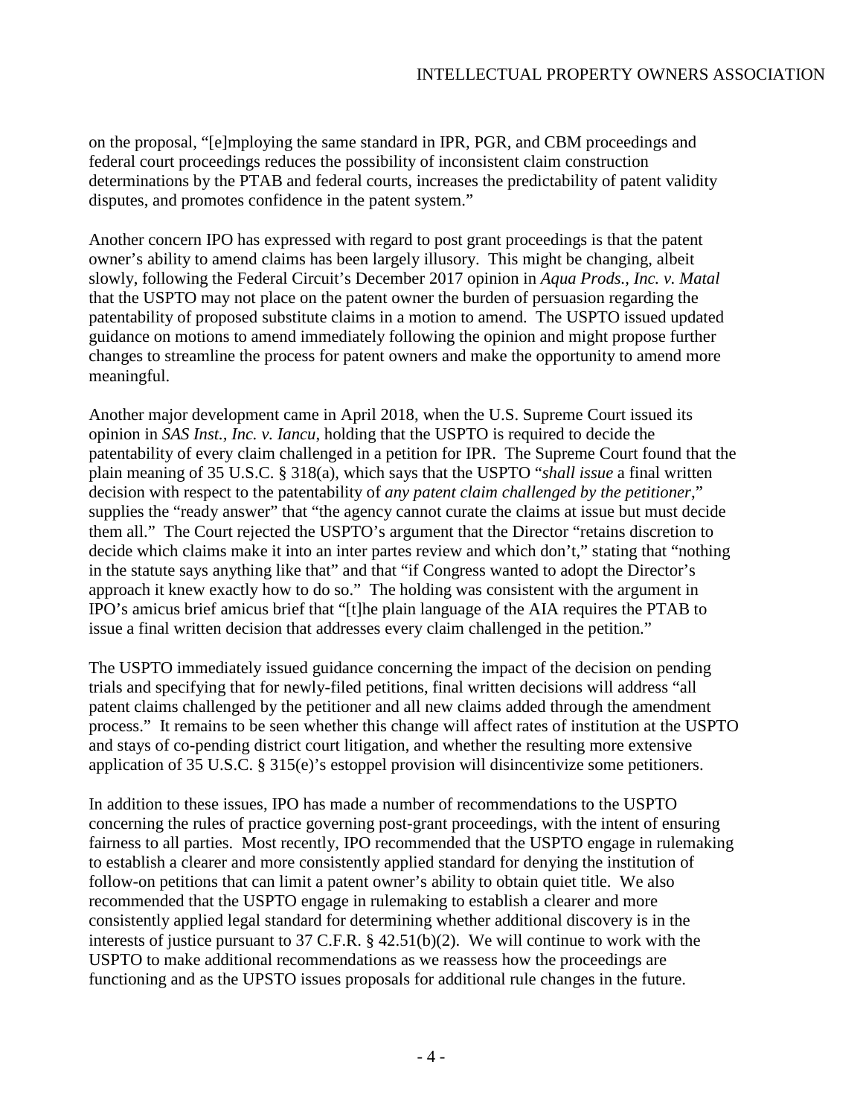on the proposal, "[e]mploying the same standard in IPR, PGR, and CBM proceedings and federal court proceedings reduces the possibility of inconsistent claim construction determinations by the PTAB and federal courts, increases the predictability of patent validity disputes, and promotes confidence in the patent system."

Another concern IPO has expressed with regard to post grant proceedings is that the patent owner's ability to amend claims has been largely illusory. This might be changing, albeit slowly, following the Federal Circuit's December 2017 opinion in *Aqua Prods., Inc. v. Matal* that the USPTO may not place on the patent owner the burden of persuasion regarding the patentability of proposed substitute claims in a motion to amend. The USPTO issued updated guidance on motions to amend immediately following the opinion and might propose further changes to streamline the process for patent owners and make the opportunity to amend more meaningful.

Another major development came in April 2018, when the U.S. Supreme Court issued its opinion in *SAS Inst., Inc. v. Iancu*, holding that the USPTO is required to decide the patentability of every claim challenged in a petition for IPR. The Supreme Court found that the plain meaning of 35 U.S.C. § 318(a), which says that the USPTO "*shall issue* a final written decision with respect to the patentability of *any patent claim challenged by the petitioner*," supplies the "ready answer" that "the agency cannot curate the claims at issue but must decide them all." The Court rejected the USPTO's argument that the Director "retains discretion to decide which claims make it into an inter partes review and which don't," stating that "nothing in the statute says anything like that" and that "if Congress wanted to adopt the Director's approach it knew exactly how to do so." The holding was consistent with the argument in IPO's amicus brief amicus brief that "[t]he plain language of the AIA requires the PTAB to issue a final written decision that addresses every claim challenged in the petition."

The USPTO immediately issued guidance concerning the impact of the decision on pending trials and specifying that for newly-filed petitions, final written decisions will address "all patent claims challenged by the petitioner and all new claims added through the amendment process." It remains to be seen whether this change will affect rates of institution at the USPTO and stays of co-pending district court litigation, and whether the resulting more extensive application of 35 U.S.C. § 315(e)'s estoppel provision will disincentivize some petitioners.

In addition to these issues, IPO has made a number of recommendations to the USPTO concerning the rules of practice governing post-grant proceedings, with the intent of ensuring fairness to all parties. Most recently, IPO recommended that the USPTO engage in rulemaking to establish a clearer and more consistently applied standard for denying the institution of follow-on petitions that can limit a patent owner's ability to obtain quiet title. We also recommended that the USPTO engage in rulemaking to establish a clearer and more consistently applied legal standard for determining whether additional discovery is in the interests of justice pursuant to 37 C.F.R. § 42.51(b)(2). We will continue to work with the USPTO to make additional recommendations as we reassess how the proceedings are functioning and as the UPSTO issues proposals for additional rule changes in the future.